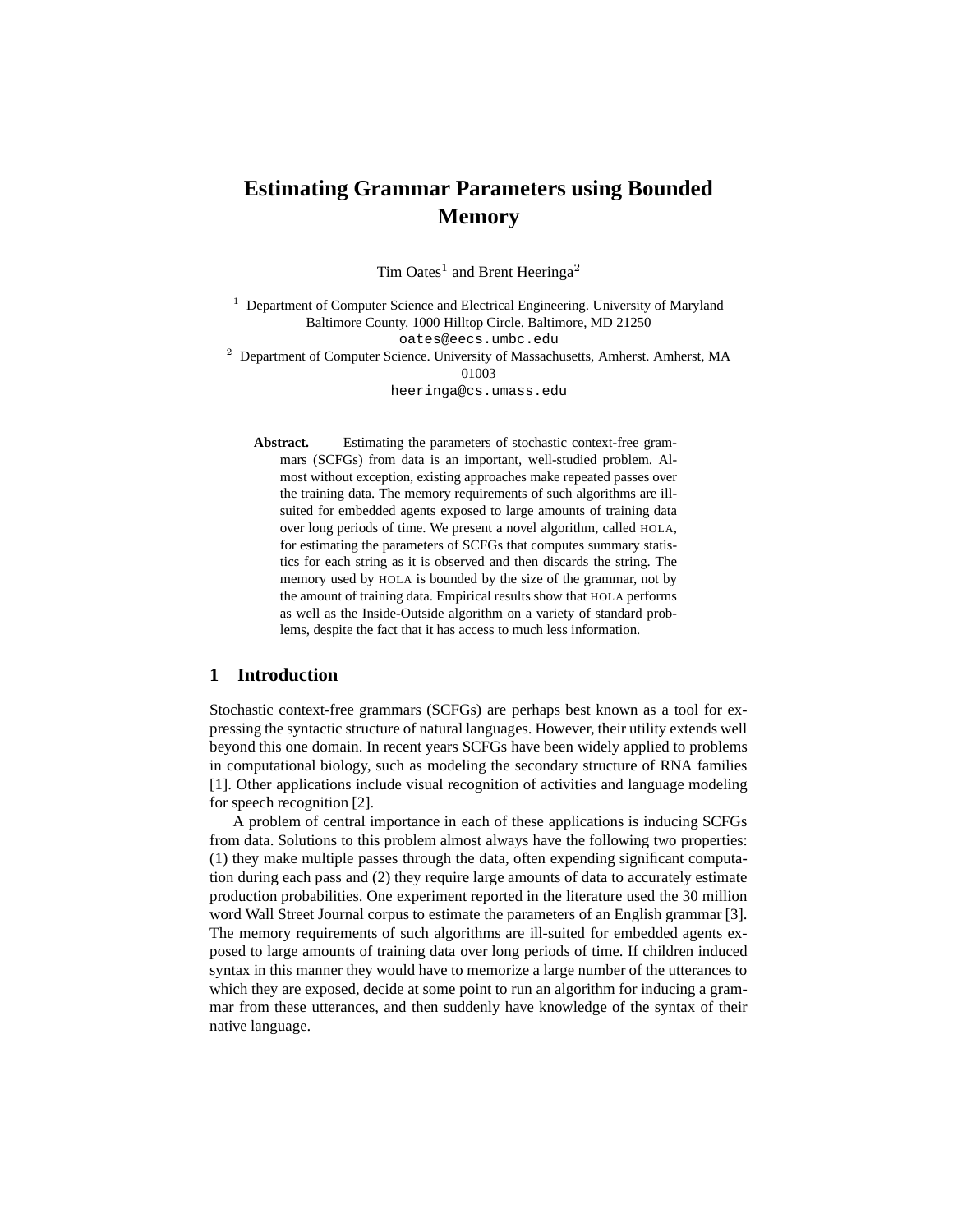# **Estimating Grammar Parameters using Bounded Memory**

Tim Oates<sup>1</sup> and Brent Heeringa<sup>2</sup>

<sup>1</sup> Department of Computer Science and Electrical Engineering. University of Maryland Baltimore County. 1000 Hilltop Circle. Baltimore, MD 21250 oates@eecs.umbc.edu <sup>2</sup> Department of Computer Science. University of Massachusetts, Amherst. Amherst, MA

01003

heeringa@cs.umass.edu

Abstract. Estimating the parameters of stochastic context-free grammars (SCFGs) from data is an important, well-studied problem. Almost without exception, existing approaches make repeated passes over the training data. The memory requirements of such algorithms are illsuited for embedded agents exposed to large amounts of training data over long periods of time. We present a novel algorithm, called HOLA, for estimating the parameters of SCFGs that computes summary statistics for each string as it is observed and then discards the string. The memory used by HOLA is bounded by the size of the grammar, not by the amount of training data. Empirical results show that HOLA performs as well as the Inside-Outside algorithm on a variety of standard problems, despite the fact that it has access to much less information.

## **1 Introduction**

Stochastic context-free grammars (SCFGs) are perhaps best known as a tool for expressing the syntactic structure of natural languages. However, their utility extends well beyond this one domain. In recent years SCFGs have been widely applied to problems in computational biology, such as modeling the secondary structure of RNA families [1]. Other applications include visual recognition of activities and language modeling for speech recognition [2].

A problem of central importance in each of these applications is inducing SCFGs from data. Solutions to this problem almost always have the following two properties: (1) they make multiple passes through the data, often expending significant computation during each pass and (2) they require large amounts of data to accurately estimate production probabilities. One experiment reported in the literature used the 30 million word Wall Street Journal corpus to estimate the parameters of an English grammar [3]. The memory requirements of such algorithms are ill-suited for embedded agents exposed to large amounts of training data over long periods of time. If children induced syntax in this manner they would have to memorize a large number of the utterances to which they are exposed, decide at some point to run an algorithm for inducing a grammar from these utterances, and then suddenly have knowledge of the syntax of their native language.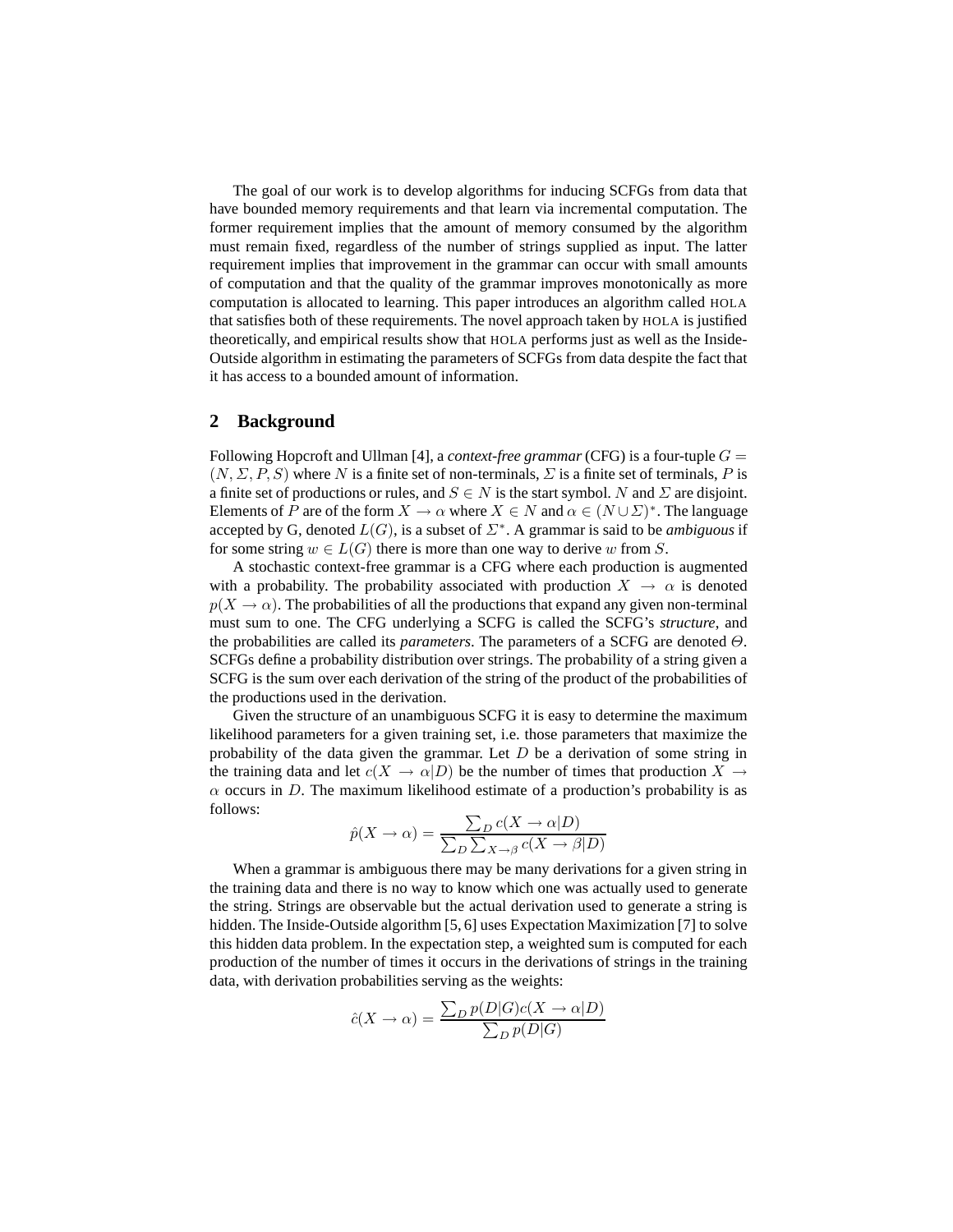The goal of our work is to develop algorithms for inducing SCFGs from data that have bounded memory requirements and that learn via incremental computation. The former requirement implies that the amount of memory consumed by the algorithm must remain fixed, regardless of the number of strings supplied as input. The latter requirement implies that improvement in the grammar can occur with small amounts of computation and that the quality of the grammar improves monotonically as more computation is allocated to learning. This paper introduces an algorithm called HOLA that satisfies both of these requirements. The novel approach taken by HOLA is justified theoretically, and empirical results show that HOLA performs just as well as the Inside-Outside algorithm in estimating the parameters of SCFGs from data despite the fact that it has access to a bounded amount of information.

## **2 Background**

Following Hopcroft and Ullman [4], a *context-free grammar* (CFG) is a four-tuple  $G =$  $(N, \Sigma, P, S)$  where N is a finite set of non-terminals,  $\Sigma$  is a finite set of terminals, P is a finite set of productions or rules, and  $S \in N$  is the start symbol. N and  $\Sigma$  are disjoint. Elements of P are of the form  $X \to \alpha$  where  $X \in N$  and  $\alpha \in (N \cup \Sigma)^*$ . The language accepted by G, denoted  $L(G)$ , is a subset of  $\Sigma^*$ . A grammar is said to be *ambiguous* if for some string  $w \in L(G)$  there is more than one way to derive w from S.

A stochastic context-free grammar is a CFG where each production is augmented with a probability. The probability associated with production  $X \to \alpha$  is denoted  $p(X \to \alpha)$ . The probabilities of all the productions that expand any given non-terminal must sum to one. The CFG underlying a SCFG is called the SCFG's *structure*, and the probabilities are called its *parameters*. The parameters of a SCFG are denoted Θ. SCFGs define a probability distribution over strings. The probability of a string given a SCFG is the sum over each derivation of the string of the product of the probabilities of the productions used in the derivation.

Given the structure of an unambiguous SCFG it is easy to determine the maximum likelihood parameters for a given training set, i.e. those parameters that maximize the probability of the data given the grammar. Let  $D$  be a derivation of some string in the training data and let  $c(X \to \alpha|D)$  be the number of times that production  $X \to$  $\alpha$  occurs in D. The maximum likelihood estimate of a production's probability is as follows:

$$
\hat{p}(X \to \alpha) = \frac{\sum_{D} c(X \to \alpha | D)}{\sum_{D} \sum_{X \to \beta} c(X \to \beta | D)}
$$

When a grammar is ambiguous there may be many derivations for a given string in the training data and there is no way to know which one was actually used to generate the string. Strings are observable but the actual derivation used to generate a string is hidden. The Inside-Outside algorithm [5, 6] uses Expectation Maximization [7] to solve this hidden data problem. In the expectation step, a weighted sum is computed for each production of the number of times it occurs in the derivations of strings in the training data, with derivation probabilities serving as the weights:

$$
\hat{c}(X \to \alpha) = \frac{\sum_D p(D|G)c(X \to \alpha|D)}{\sum_D p(D|G)}
$$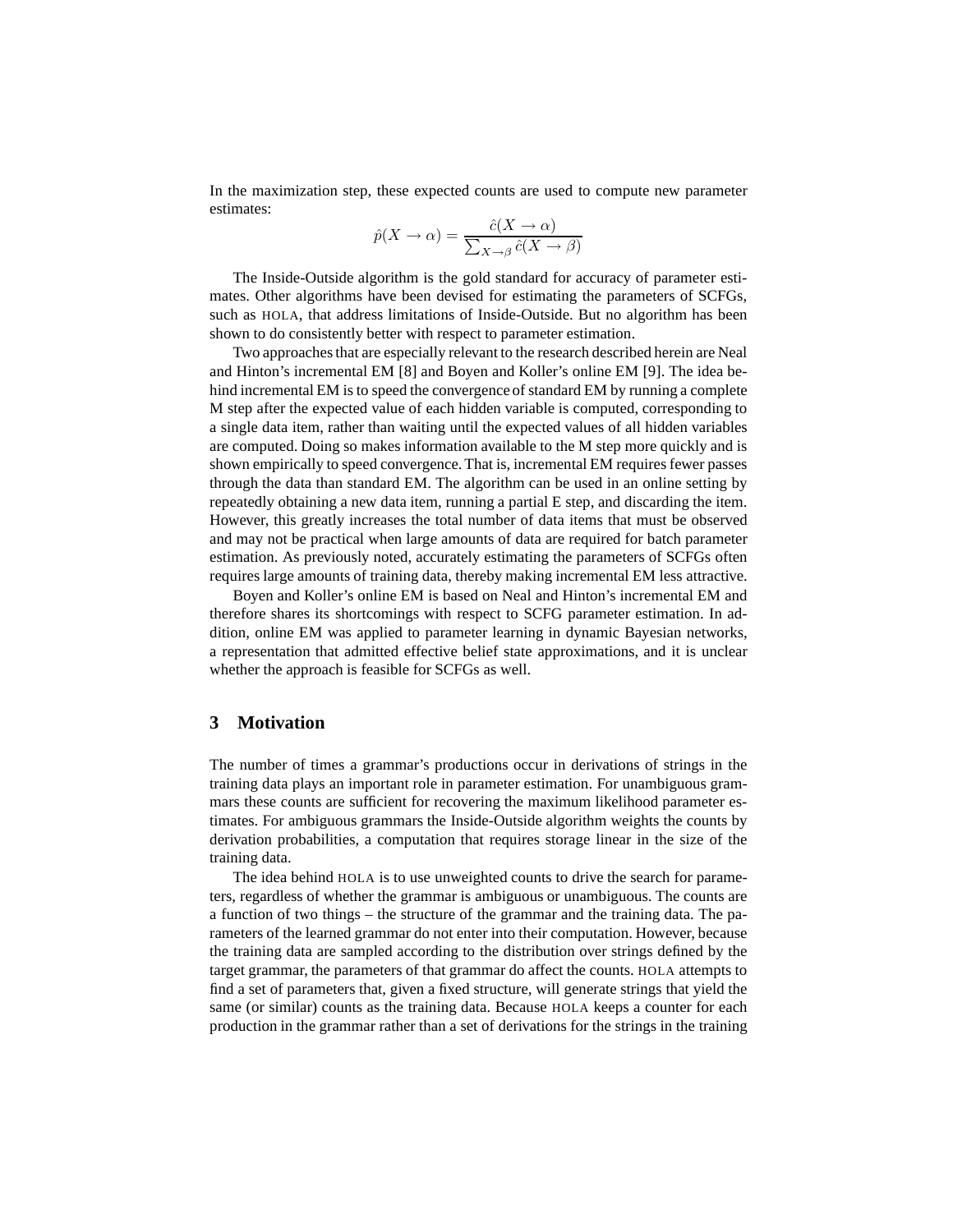In the maximization step, these expected counts are used to compute new parameter estimates:

$$
\hat{p}(X \to \alpha) = \frac{\hat{c}(X \to \alpha)}{\sum_{X \to \beta} \hat{c}(X \to \beta)}
$$

The Inside-Outside algorithm is the gold standard for accuracy of parameter estimates. Other algorithms have been devised for estimating the parameters of SCFGs, such as HOLA, that address limitations of Inside-Outside. But no algorithm has been shown to do consistently better with respect to parameter estimation.

Two approaches that are especially relevant to the research described herein are Neal and Hinton's incremental EM [8] and Boyen and Koller's online EM [9]. The idea behind incremental EM is to speed the convergence of standard EM by running a complete M step after the expected value of each hidden variable is computed, corresponding to a single data item, rather than waiting until the expected values of all hidden variables are computed. Doing so makes information available to the M step more quickly and is shown empirically to speed convergence.That is, incremental EM requires fewer passes through the data than standard EM. The algorithm can be used in an online setting by repeatedly obtaining a new data item, running a partial E step, and discarding the item. However, this greatly increases the total number of data items that must be observed and may not be practical when large amounts of data are required for batch parameter estimation. As previously noted, accurately estimating the parameters of SCFGs often requires large amounts of training data, thereby making incremental EM less attractive.

Boyen and Koller's online EM is based on Neal and Hinton's incremental EM and therefore shares its shortcomings with respect to SCFG parameter estimation. In addition, online EM was applied to parameter learning in dynamic Bayesian networks, a representation that admitted effective belief state approximations, and it is unclear whether the approach is feasible for SCFGs as well.

## **3 Motivation**

The number of times a grammar's productions occur in derivations of strings in the training data plays an important role in parameter estimation. For unambiguous grammars these counts are sufficient for recovering the maximum likelihood parameter estimates. For ambiguous grammars the Inside-Outside algorithm weights the counts by derivation probabilities, a computation that requires storage linear in the size of the training data.

The idea behind HOLA is to use unweighted counts to drive the search for parameters, regardless of whether the grammar is ambiguous or unambiguous. The counts are a function of two things – the structure of the grammar and the training data. The parameters of the learned grammar do not enter into their computation. However, because the training data are sampled according to the distribution over strings defined by the target grammar, the parameters of that grammar do affect the counts. HOLA attempts to find a set of parameters that, given a fixed structure, will generate strings that yield the same (or similar) counts as the training data. Because HOLA keeps a counter for each production in the grammar rather than a set of derivations for the strings in the training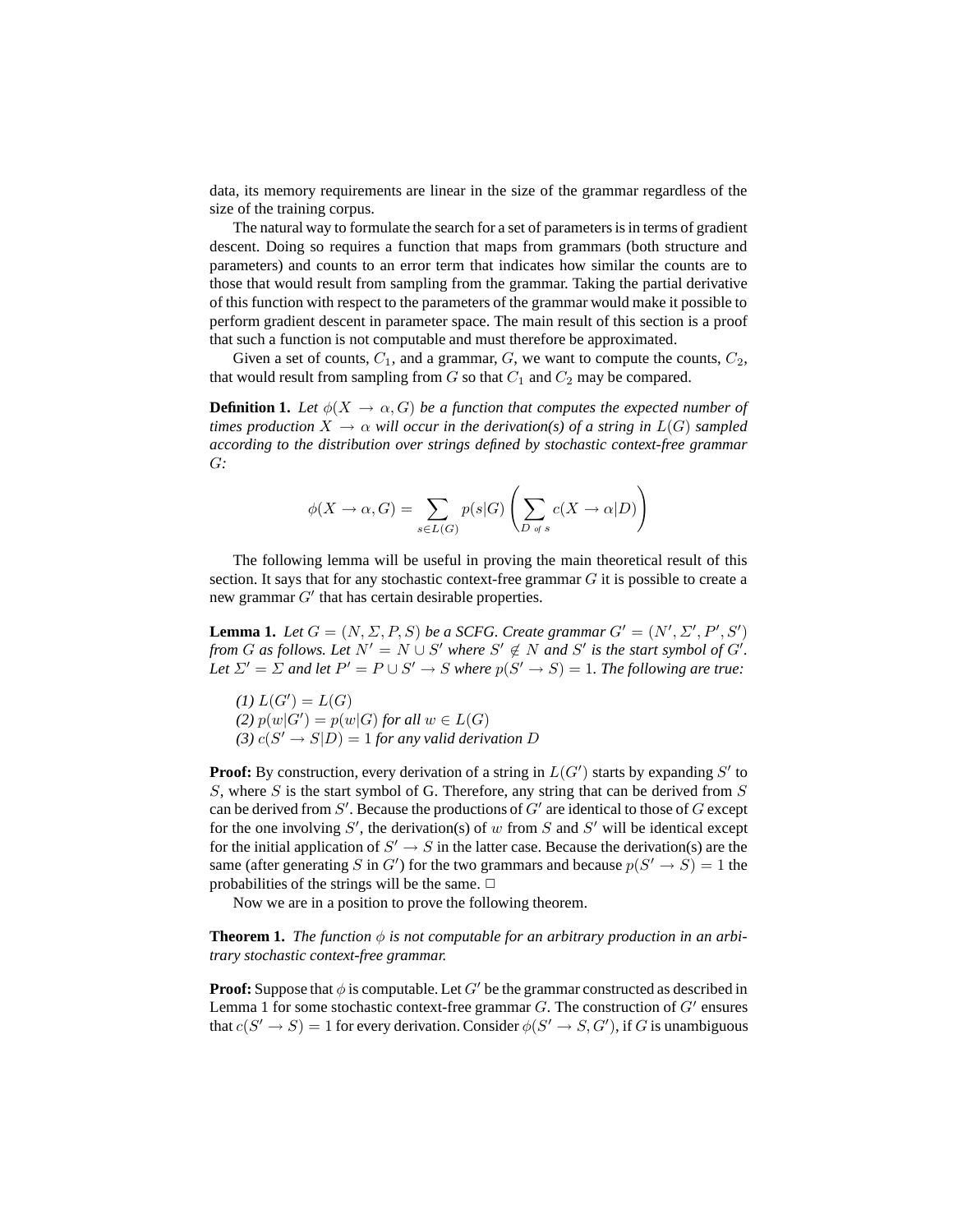data, its memory requirements are linear in the size of the grammar regardless of the size of the training corpus.

The natural way to formulate the search for a set of parameters is in terms of gradient descent. Doing so requires a function that maps from grammars (both structure and parameters) and counts to an error term that indicates how similar the counts are to those that would result from sampling from the grammar. Taking the partial derivative of this function with respect to the parameters of the grammar would make it possible to perform gradient descent in parameter space. The main result of this section is a proof that such a function is not computable and must therefore be approximated.

Given a set of counts,  $C_1$ , and a grammar,  $G$ , we want to compute the counts,  $C_2$ , that would result from sampling from  $G$  so that  $C_1$  and  $C_2$  may be compared.

**Definition 1.** Let  $\phi(X \to \alpha, G)$  be a function that computes the expected number of *times production*  $X \to \alpha$  *will occur in the derivation(s) of a string in*  $L(G)$  *sampled according to the distribution over strings defined by stochastic context-free grammar* G*:*

$$
\phi(X \to \alpha, G) = \sum_{s \in L(G)} p(s|G) \left( \sum_{D \text{ of } s} c(X \to \alpha|D) \right)
$$

The following lemma will be useful in proving the main theoretical result of this section. It says that for any stochastic context-free grammar  $G$  it is possible to create a new grammar  $G'$  that has certain desirable properties.

**Lemma 1.** Let  $G = (N, \Sigma, P, S)$  be a SCFG. Create grammar  $G' = (N', \Sigma', P', S')$ *from G* as *follows.* Let  $N' = N \cup S'$  where  $S' \notin N$  and  $S'$  is the start symbol of  $G'$ . *Let*  $\Sigma' = \Sigma$  *and let*  $P' = P \cup S' \rightarrow S$  *where*  $p(S' \rightarrow S) = 1$ *. The following are true:* 

 $(I) L(G') = L(G)$ *(2)*  $p(w|G') = p(w|G)$  *for all*  $w \in L(G)$ (3)  $c(S' \rightarrow S|D) = 1$  *for any valid derivation* D

**Proof:** By construction, every derivation of a string in  $L(G')$  starts by expanding  $S'$  to S, where S is the start symbol of G. Therefore, any string that can be derived from  $S$ can be derived from  $S'$ . Because the productions of  $G'$  are identical to those of  $G$  except for the one involving  $S'$ , the derivation(s) of w from  $S$  and  $S'$  will be identical except for the initial application of  $S' \to S$  in the latter case. Because the derivation(s) are the same (after generating S in G') for the two grammars and because  $p(S' \rightarrow S) = 1$  the probabilities of the strings will be the same.  $\Box$ 

Now we are in a position to prove the following theorem.

**Theorem 1.** The function  $\phi$  is not computable for an arbitrary production in an arbi*trary stochastic context-free grammar.*

**Proof:** Suppose that  $\phi$  is computable. Let G' be the grammar constructed as described in Lemma 1 for some stochastic context-free grammar  $G$ . The construction of  $G'$  ensures that  $c(S' \to S) = 1$  for every derivation. Consider  $\phi(S' \to S, G')$ , if G is unambiguous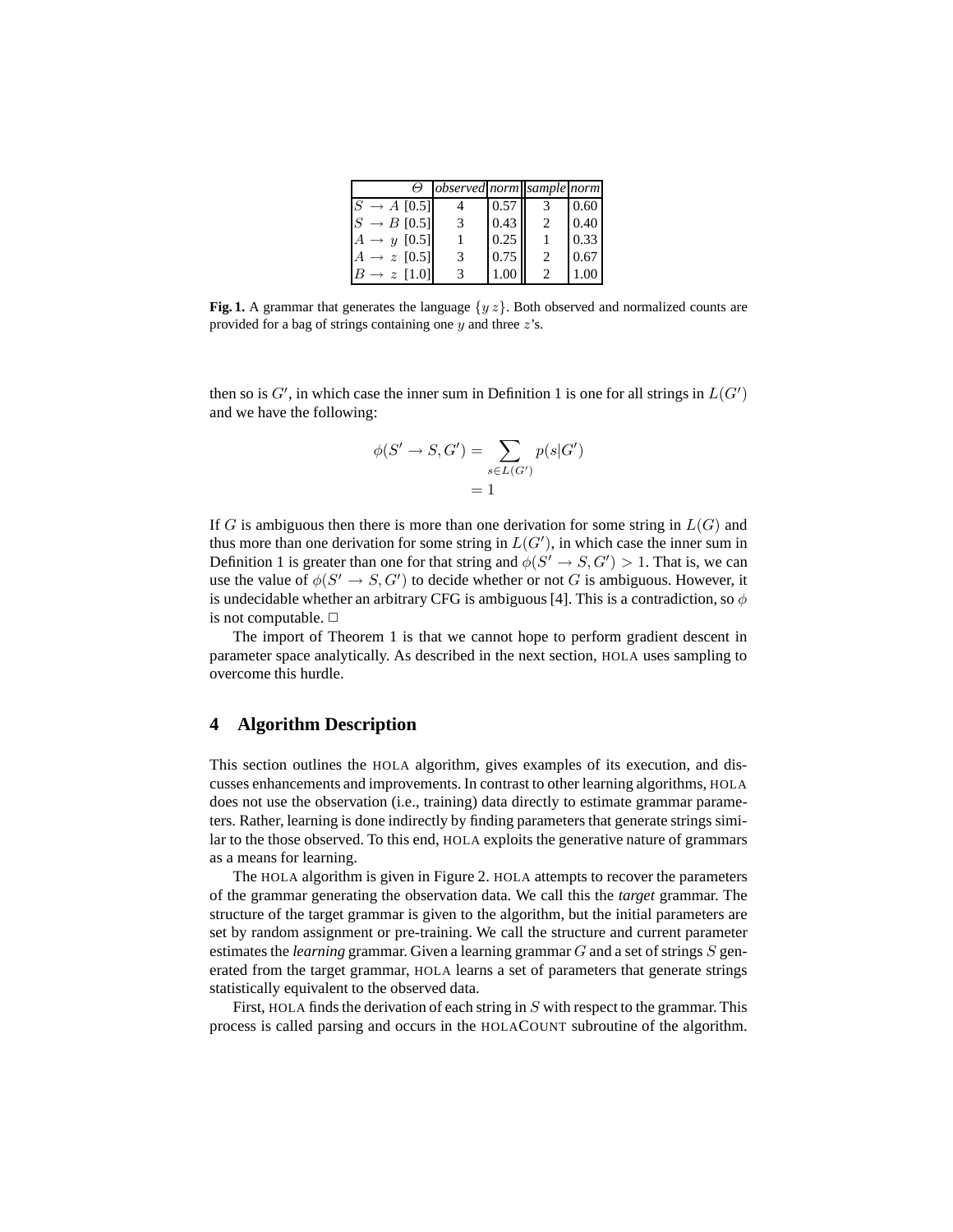| Θ                                  | observed norm sample norm |        |               |      |
|------------------------------------|---------------------------|--------|---------------|------|
| S<br>$\rightarrow$ A [0.5]         |                           | 0.57   |               | 0.60 |
| $S \rightarrow B$ [0.5]            | 3                         | 0.43   | $\mathcal{L}$ | 0.40 |
| $\rightarrow u$ [0.5]              |                           | $0.25$ |               | 0.33 |
| $\rightarrow z$ [0.5]              | 3                         | $0.75$ | 2             | 0.67 |
| $\cdot$ B<br>$\rightarrow z$ [1.0] |                           | 1.00   |               |      |

**Fig. 1.** A grammar that generates the language  $\{yz\}$ . Both observed and normalized counts are provided for a bag of strings containing one  $y$  and three  $z$ 's.

then so is  $G'$ , in which case the inner sum in Definition 1 is one for all strings in  $L(G')$ and we have the following:

$$
\phi(S' \to S, G') = \sum_{s \in L(G')} p(s|G')
$$

$$
= 1
$$

If G is ambiguous then there is more than one derivation for some string in  $L(G)$  and thus more than one derivation for some string in  $L(G')$ , in which case the inner sum in Definition 1 is greater than one for that string and  $\phi(S' \rightarrow S, G') > 1$ . That is, we can use the value of  $\phi(S' \to S, G')$  to decide whether or not G is ambiguous. However, it is undecidable whether an arbitrary CFG is ambiguous [4]. This is a contradiction, so  $\phi$ is not computable.  $\Box$ 

The import of Theorem 1 is that we cannot hope to perform gradient descent in parameter space analytically. As described in the next section, HOLA uses sampling to overcome this hurdle.

## **4 Algorithm Description**

This section outlines the HOLA algorithm, gives examples of its execution, and discusses enhancements and improvements. In contrast to other learning algorithms, HOLA does not use the observation (i.e., training) data directly to estimate grammar parameters. Rather, learning is done indirectly by finding parameters that generate strings similar to the those observed. To this end, HOLA exploits the generative nature of grammars as a means for learning.

The HOLA algorithm is given in Figure 2. HOLA attempts to recover the parameters of the grammar generating the observation data. We call this the *target* grammar. The structure of the target grammar is given to the algorithm, but the initial parameters are set by random assignment or pre-training. We call the structure and current parameter estimates the *learning* grammar. Given a learning grammar G and a set of strings S generated from the target grammar, HOLA learns a set of parameters that generate strings statistically equivalent to the observed data.

First, HOLA finds the derivation of each string in  $S$  with respect to the grammar. This process is called parsing and occurs in the HOLACOUNT subroutine of the algorithm.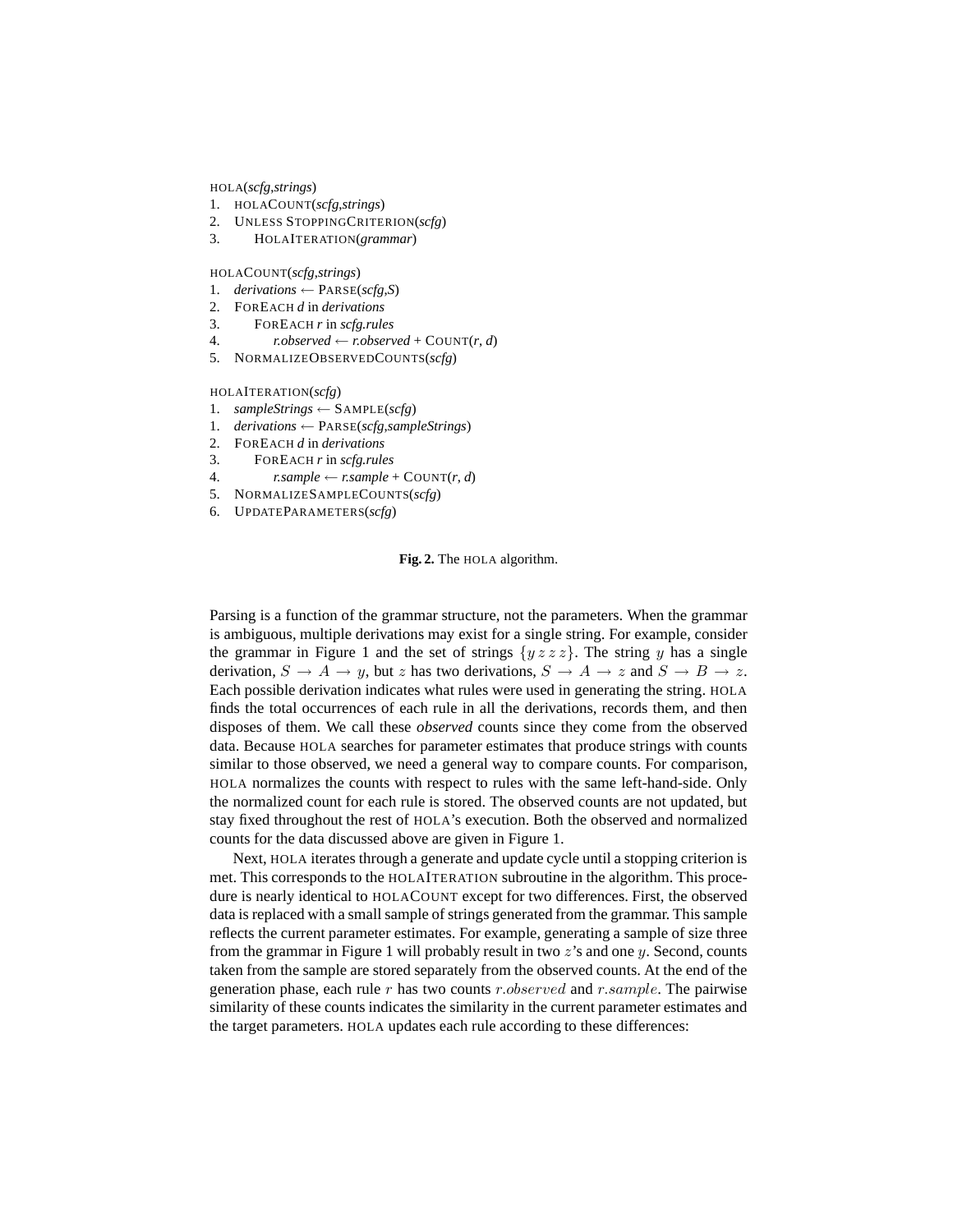HOLA(*scfg*,*strings*)

- 1. HOLACOUNT(*scfg*,*strings*)
- 2. UNLESS STOPPINGCRITERION(*scfg*)
- 3. HOLAITERATION(*grammar*)

HOLACOUNT(*scfg*,*strings*)

- 1. *derivations*  $\leftarrow$  PARSE(*scfg*,*S*)
- 2. FOREACH *d* in *derivations*
- 3. FOREACH *r* in *scfg.rules*
- 4. *r.observed* ← *r.observed* + COUNT $(r, d)$
- 5. NORMALIZEOBSERVEDCOUNTS(*scfg*)

HOLAITERATION(*scfg*)

- 1. *sampleStrings* ← SAMPLE(*scfg*)
- 1. *derivations* ← PARSE(*scfg*,*sampleStrings*)
- 2. FOREACH *d* in *derivations*
- 3. FOREACH *r* in *scfg.rules*
- 4.  $r. sample \leftarrow r. sample + COUNT(r, d)$
- 5. NORMALIZESAMPLECOUNTS(*scfg*)
- 6. UPDATEPARAMETERS(*scfg*)

**Fig. 2.** The HOLA algorithm.

Parsing is a function of the grammar structure, not the parameters. When the grammar is ambiguous, multiple derivations may exist for a single string. For example, consider the grammar in Figure 1 and the set of strings  $\{yz \, zz \}$ . The string y has a single derivation,  $S \to A \to y$ , but z has two derivations,  $S \to A \to z$  and  $S \to B \to z$ . Each possible derivation indicates what rules were used in generating the string. HOLA finds the total occurrences of each rule in all the derivations, records them, and then disposes of them. We call these *observed* counts since they come from the observed data. Because HOLA searches for parameter estimates that produce strings with counts similar to those observed, we need a general way to compare counts. For comparison, HOLA normalizes the counts with respect to rules with the same left-hand-side. Only the normalized count for each rule is stored. The observed counts are not updated, but stay fixed throughout the rest of HOLA's execution. Both the observed and normalized counts for the data discussed above are given in Figure 1.

Next, HOLA iterates through a generate and update cycle until a stopping criterion is met. This corresponds to the HOLAITERATION subroutine in the algorithm. This procedure is nearly identical to HOLACOUNT except for two differences. First, the observed data is replaced with a small sample of strings generated from the grammar. This sample reflects the current parameter estimates. For example, generating a sample of size three from the grammar in Figure 1 will probably result in two  $z$ 's and one  $y$ . Second, counts taken from the sample are stored separately from the observed counts. At the end of the generation phase, each rule  $r$  has two counts  $r.observed$  and  $r.sample$ . The pairwise similarity of these counts indicates the similarity in the current parameter estimates and the target parameters. HOLA updates each rule according to these differences: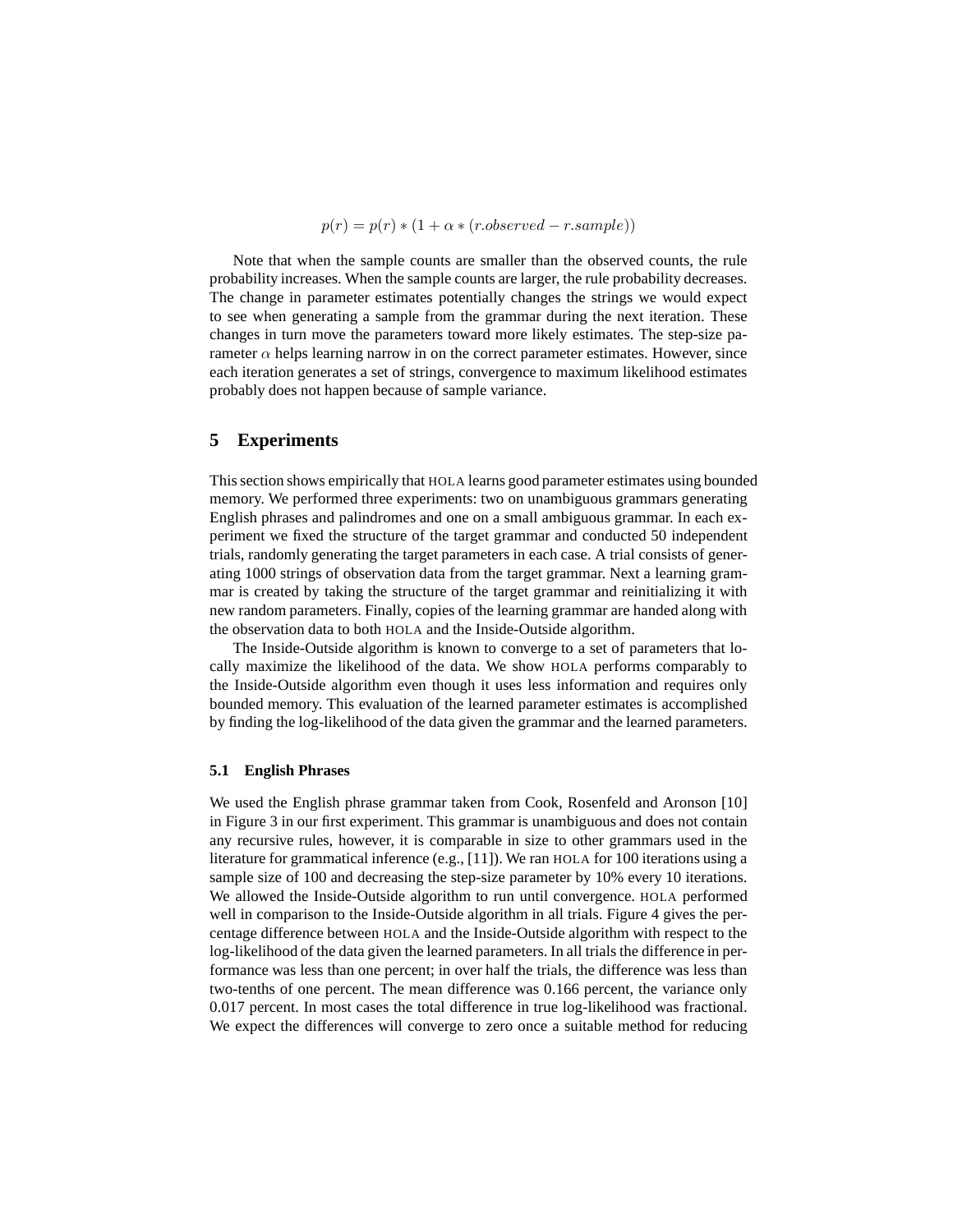$p(r) = p(r) * (1 + \alpha * (r) \cdot \text{observed} - r \cdot \text{sample}))$ 

Note that when the sample counts are smaller than the observed counts, the rule probability increases. When the sample counts are larger, the rule probability decreases. The change in parameter estimates potentially changes the strings we would expect to see when generating a sample from the grammar during the next iteration. These changes in turn move the parameters toward more likely estimates. The step-size parameter  $\alpha$  helps learning narrow in on the correct parameter estimates. However, since each iteration generates a set of strings, convergence to maximum likelihood estimates probably does not happen because of sample variance.

## **5 Experiments**

Thissection shows empirically that HOLA learns good parameter estimates using bounded memory. We performed three experiments: two on unambiguous grammars generating English phrases and palindromes and one on a small ambiguous grammar. In each experiment we fixed the structure of the target grammar and conducted 50 independent trials, randomly generating the target parameters in each case. A trial consists of generating 1000 strings of observation data from the target grammar. Next a learning grammar is created by taking the structure of the target grammar and reinitializing it with new random parameters. Finally, copies of the learning grammar are handed along with the observation data to both HOLA and the Inside-Outside algorithm.

The Inside-Outside algorithm is known to converge to a set of parameters that locally maximize the likelihood of the data. We show HOLA performs comparably to the Inside-Outside algorithm even though it uses less information and requires only bounded memory. This evaluation of the learned parameter estimates is accomplished by finding the log-likelihood of the data given the grammar and the learned parameters.

#### **5.1 English Phrases**

We used the English phrase grammar taken from Cook, Rosenfeld and Aronson [10] in Figure 3 in our first experiment. This grammar is unambiguous and does not contain any recursive rules, however, it is comparable in size to other grammars used in the literature for grammatical inference (e.g., [11]). We ran HOLA for 100 iterations using a sample size of 100 and decreasing the step-size parameter by 10% every 10 iterations. We allowed the Inside-Outside algorithm to run until convergence. HOLA performed well in comparison to the Inside-Outside algorithm in all trials. Figure 4 gives the percentage difference between HOLA and the Inside-Outside algorithm with respect to the log-likelihood of the data given the learned parameters. In all trials the difference in performance was less than one percent; in over half the trials, the difference was less than two-tenths of one percent. The mean difference was 0.166 percent, the variance only 0.017 percent. In most cases the total difference in true log-likelihood was fractional. We expect the differences will converge to zero once a suitable method for reducing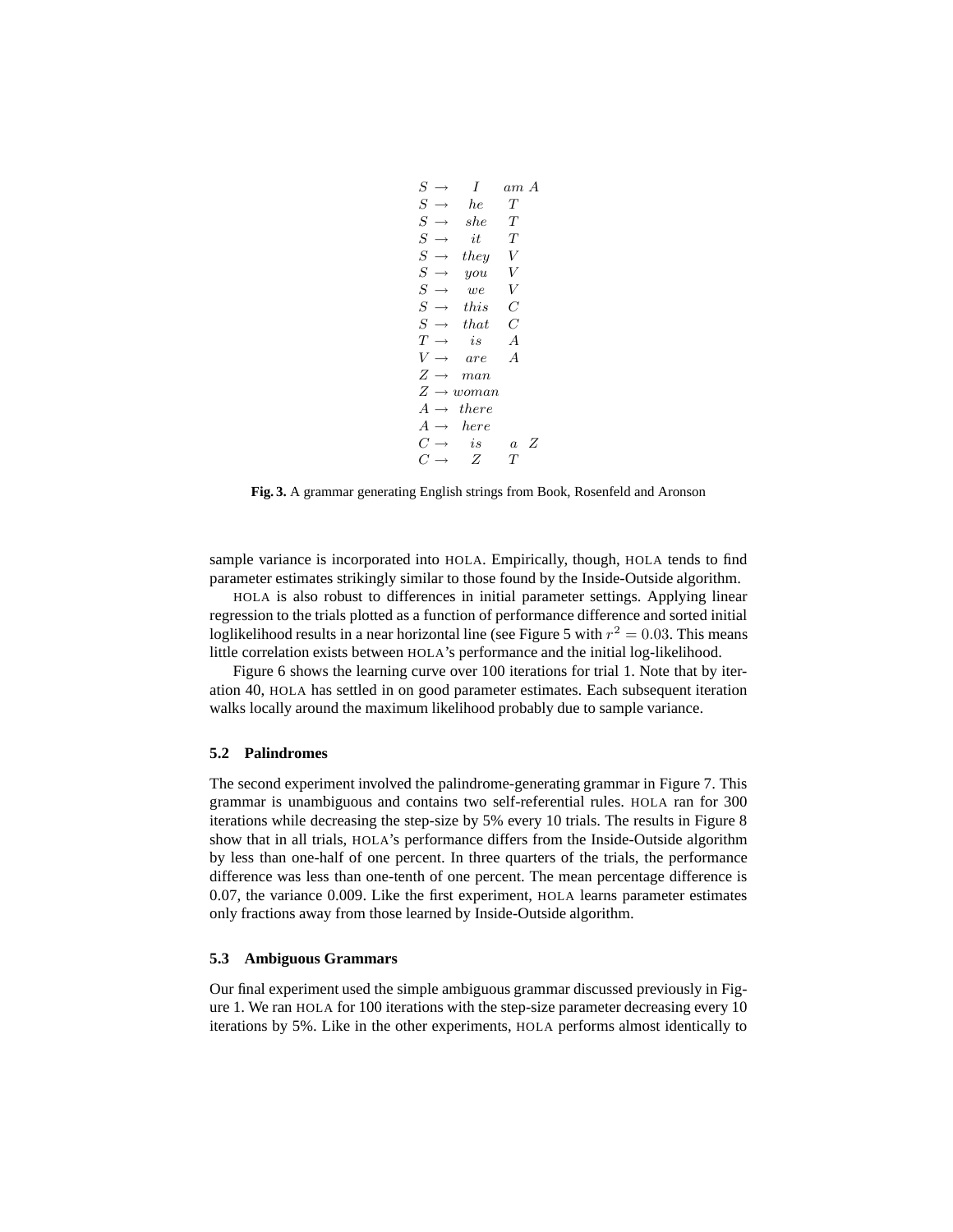```
S \rightarrow I am A
S \rightarrow he \quad TS \rightarrow she T
S \rightarrow it \quad T<br>S \rightarrow theu \quad VS \rightarrow they \quad V<br>S \rightarrow you \quad Vyou VS \hspace{2pt} \rightarrow \hspace{2pt} we \hspace{2pt} VS \rightarrow this \quad CS \rightarrow that \quad CT \rightarrow is A
V \rightarrow \text{are} A
Z \rightarrow manZ \rightarrow womanA \rightarrow there
A \rightarrow hereC \rightarrow \quad \  is \qquad a \ \ ZC \rightarrow Z T
```
**Fig. 3.** A grammar generating English strings from Book, Rosenfeld and Aronson

sample variance is incorporated into HOLA. Empirically, though, HOLA tends to find parameter estimates strikingly similar to those found by the Inside-Outside algorithm.

HOLA is also robust to differences in initial parameter settings. Applying linear regression to the trials plotted as a function of performance difference and sorted initial loglikelihood results in a near horizontal line (see Figure 5 with  $r^2 = 0.03$ . This means little correlation exists between HOLA's performance and the initial log-likelihood.

Figure 6 shows the learning curve over 100 iterations for trial 1. Note that by iteration 40, HOLA has settled in on good parameter estimates. Each subsequent iteration walks locally around the maximum likelihood probably due to sample variance.

#### **5.2 Palindromes**

The second experiment involved the palindrome-generating grammar in Figure 7. This grammar is unambiguous and contains two self-referential rules. HOLA ran for 300 iterations while decreasing the step-size by 5% every 10 trials. The results in Figure 8 show that in all trials, HOLA's performance differs from the Inside-Outside algorithm by less than one-half of one percent. In three quarters of the trials, the performance difference was less than one-tenth of one percent. The mean percentage difference is 0.07, the variance 0.009. Like the first experiment, HOLA learns parameter estimates only fractions away from those learned by Inside-Outside algorithm.

#### **5.3 Ambiguous Grammars**

Our final experiment used the simple ambiguous grammar discussed previously in Figure 1. We ran HOLA for 100 iterations with the step-size parameter decreasing every 10 iterations by 5%. Like in the other experiments, HOLA performs almost identically to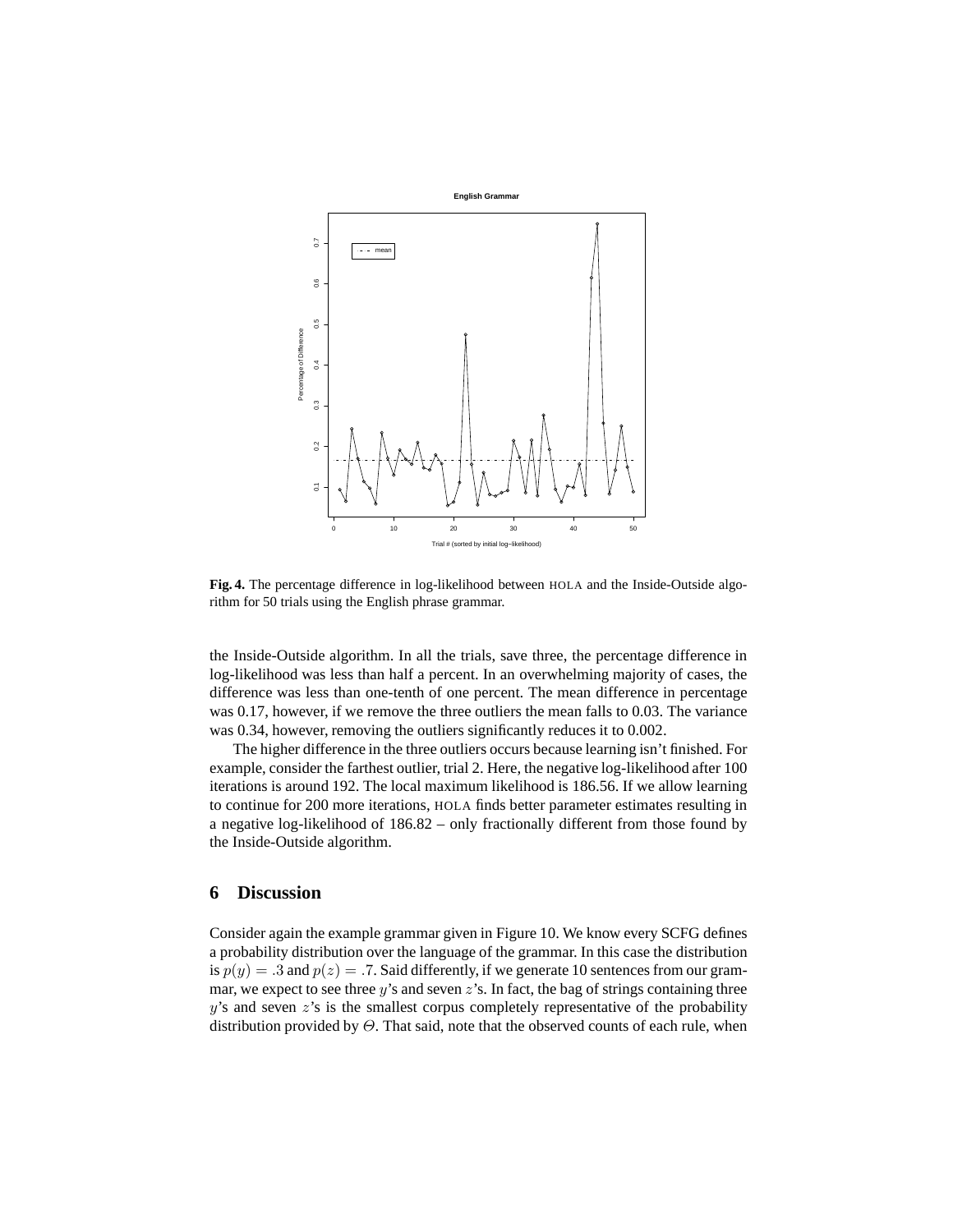

**Fig. 4.** The percentage difference in log-likelihood between HOLA and the Inside-Outside algorithm for 50 trials using the English phrase grammar.

the Inside-Outside algorithm. In all the trials, save three, the percentage difference in log-likelihood was less than half a percent. In an overwhelming majority of cases, the difference was less than one-tenth of one percent. The mean difference in percentage was 0.17, however, if we remove the three outliers the mean falls to 0.03. The variance was 0.34, however, removing the outliers significantly reduces it to 0.002.

The higher difference in the three outliers occurs because learning isn't finished. For example, consider the farthest outlier, trial 2. Here, the negative log-likelihood after 100 iterations is around 192. The local maximum likelihood is 186.56. If we allow learning to continue for 200 more iterations, HOLA finds better parameter estimates resulting in a negative log-likelihood of 186.82 – only fractionally different from those found by the Inside-Outside algorithm.

# **6 Discussion**

Consider again the example grammar given in Figure 10. We know every SCFG defines a probability distribution over the language of the grammar. In this case the distribution is  $p(y) = .3$  and  $p(z) = .7$ . Said differently, if we generate 10 sentences from our grammar, we expect to see three  $y$ 's and seven z's. In fact, the bag of strings containing three  $y$ 's and seven  $z$ 's is the smallest corpus completely representative of the probability distribution provided by  $\Theta$ . That said, note that the observed counts of each rule, when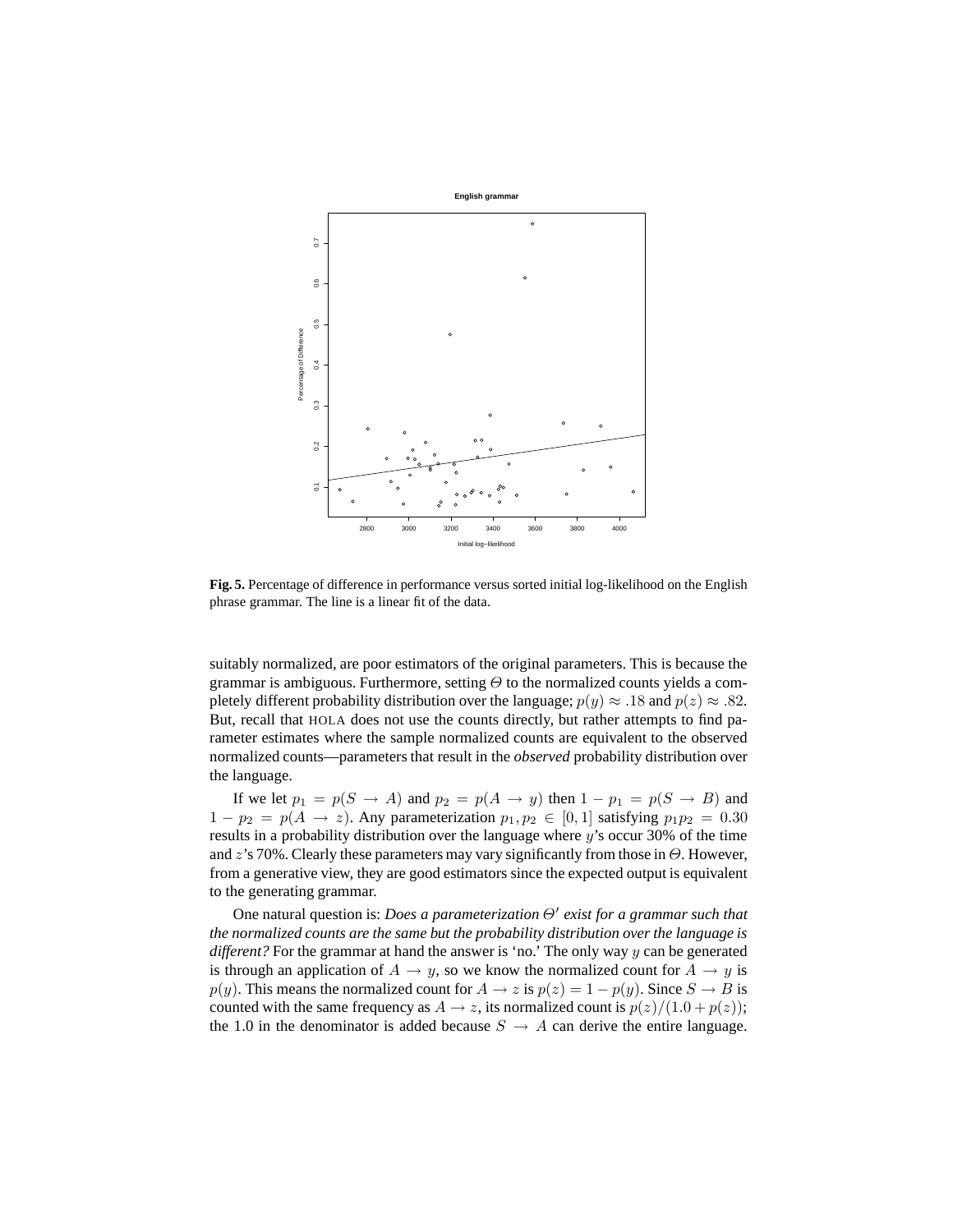

**Fig. 5.** Percentage of difference in performance versus sorted initial log-likelihood on the English phrase grammar. The line is a linear fit of the data.

suitably normalized, are poor estimators of the original parameters. This is because the grammar is ambiguous. Furthermore, setting  $\Theta$  to the normalized counts yields a completely different probability distribution over the language;  $p(y) \approx 0.18$  and  $p(z) \approx 0.82$ . But, recall that HOLA does not use the counts directly, but rather attempts to find parameter estimates where the sample normalized counts are equivalent to the observed normalized counts—parameters that result in the *observed* probability distribution over the language.

If we let  $p_1 = p(S \rightarrow A)$  and  $p_2 = p(A \rightarrow y)$  then  $1 - p_1 = p(S \rightarrow B)$  and  $1 - p_2 = p(A \rightarrow z)$ . Any parameterization  $p_1, p_2 \in [0, 1]$  satisfying  $p_1 p_2 = 0.30$ results in a probability distribution over the language where y's occur 30% of the time and  $z$ 's 70%. Clearly these parameters may vary significantly from those in  $\Theta$ . However, from a generative view, they are good estimators since the expected output is equivalent to the generating grammar.

One natural question is: *Does a parameterization* Θ<sup>0</sup> *exist for a grammar such that the normalized counts are the same but the probability distribution over the language is different?* For the grammar at hand the answer is 'no.' The only way y can be generated is through an application of  $A \rightarrow y$ , so we know the normalized count for  $A \rightarrow y$  is  $p(y)$ . This means the normalized count for  $A \to z$  is  $p(z) = 1 - p(y)$ . Since  $S \to B$  is counted with the same frequency as  $A \rightarrow z$ , its normalized count is  $p(z)/(1.0 + p(z));$ the 1.0 in the denominator is added because  $S \rightarrow A$  can derive the entire language.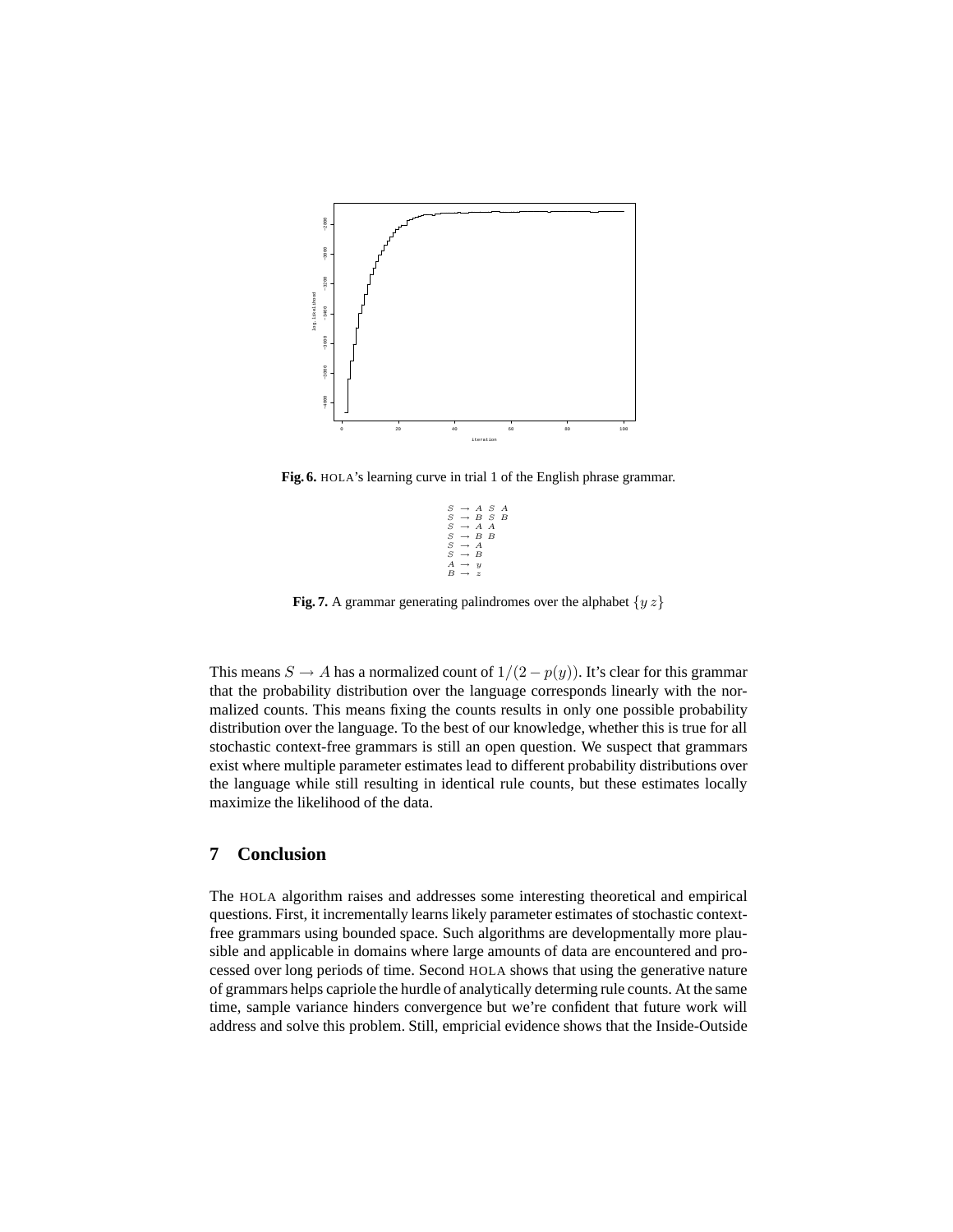

**Fig. 6.** HOLA's learning curve in trial 1 of the English phrase grammar.

$$
S \rightarrow A \ S \ A
$$
  
\n
$$
S \rightarrow B \ S \ B
$$
  
\n
$$
S \rightarrow A \ A
$$
  
\n
$$
S \rightarrow A \ B
$$
  
\n
$$
S \rightarrow A \ B
$$
  
\n
$$
S \rightarrow B \ B
$$
  
\n
$$
S \rightarrow B \ B
$$
  
\n
$$
A \rightarrow y
$$
  
\n
$$
B \rightarrow z
$$

**Fig. 7.** A grammar generating palindromes over the alphabet  $\{y \, z\}$ 

This means  $S \to A$  has a normalized count of  $1/(2 - p(y))$ . It's clear for this grammar that the probability distribution over the language corresponds linearly with the normalized counts. This means fixing the counts results in only one possible probability distribution over the language. To the best of our knowledge, whether this is true for all stochastic context-free grammars is still an open question. We suspect that grammars exist where multiple parameter estimates lead to different probability distributions over the language while still resulting in identical rule counts, but these estimates locally maximize the likelihood of the data.

# **7 Conclusion**

The HOLA algorithm raises and addresses some interesting theoretical and empirical questions. First, it incrementally learns likely parameter estimates of stochastic contextfree grammars using bounded space. Such algorithms are developmentally more plausible and applicable in domains where large amounts of data are encountered and processed over long periods of time. Second HOLA shows that using the generative nature of grammars helps capriole the hurdle of analytically determing rule counts. At the same time, sample variance hinders convergence but we're confident that future work will address and solve this problem. Still, empricial evidence shows that the Inside-Outside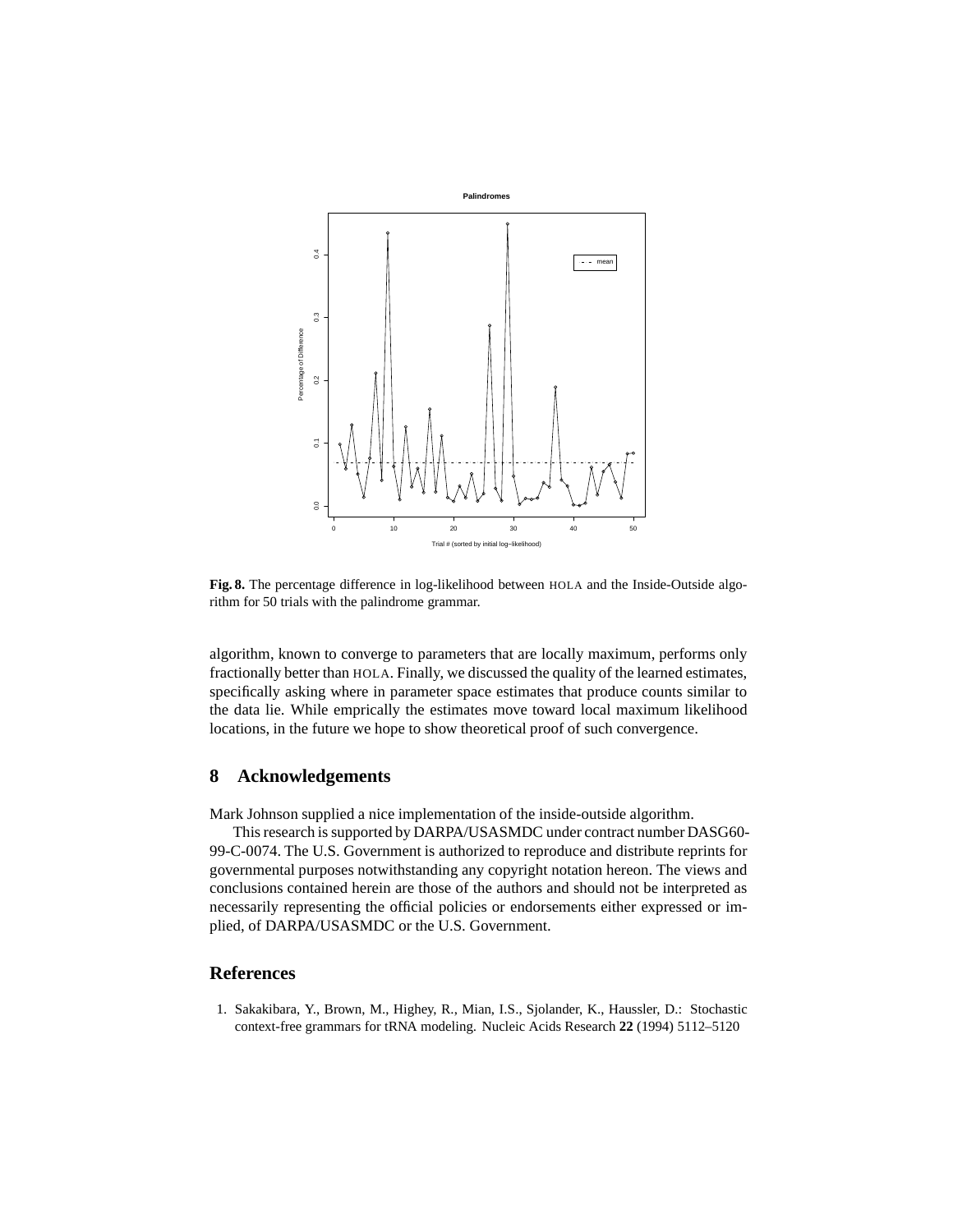

**Fig. 8.** The percentage difference in log-likelihood between HOLA and the Inside-Outside algorithm for 50 trials with the palindrome grammar.

algorithm, known to converge to parameters that are locally maximum, performs only fractionally better than HOLA. Finally, we discussed the quality of the learned estimates, specifically asking where in parameter space estimates that produce counts similar to the data lie. While emprically the estimates move toward local maximum likelihood locations, in the future we hope to show theoretical proof of such convergence.

# **8 Acknowledgements**

Mark Johnson supplied a nice implementation of the inside-outside algorithm.

Thisresearch is supported by DARPA/USASMDC under contract number DASG60- 99-C-0074. The U.S. Government is authorized to reproduce and distribute reprints for governmental purposes notwithstanding any copyright notation hereon. The views and conclusions contained herein are those of the authors and should not be interpreted as necessarily representing the official policies or endorsements either expressed or implied, of DARPA/USASMDC or the U.S. Government.

# **References**

1. Sakakibara, Y., Brown, M., Highey, R., Mian, I.S., Sjolander, K., Haussler, D.: Stochastic context-free grammars for tRNA modeling. Nucleic Acids Research **22** (1994) 5112–5120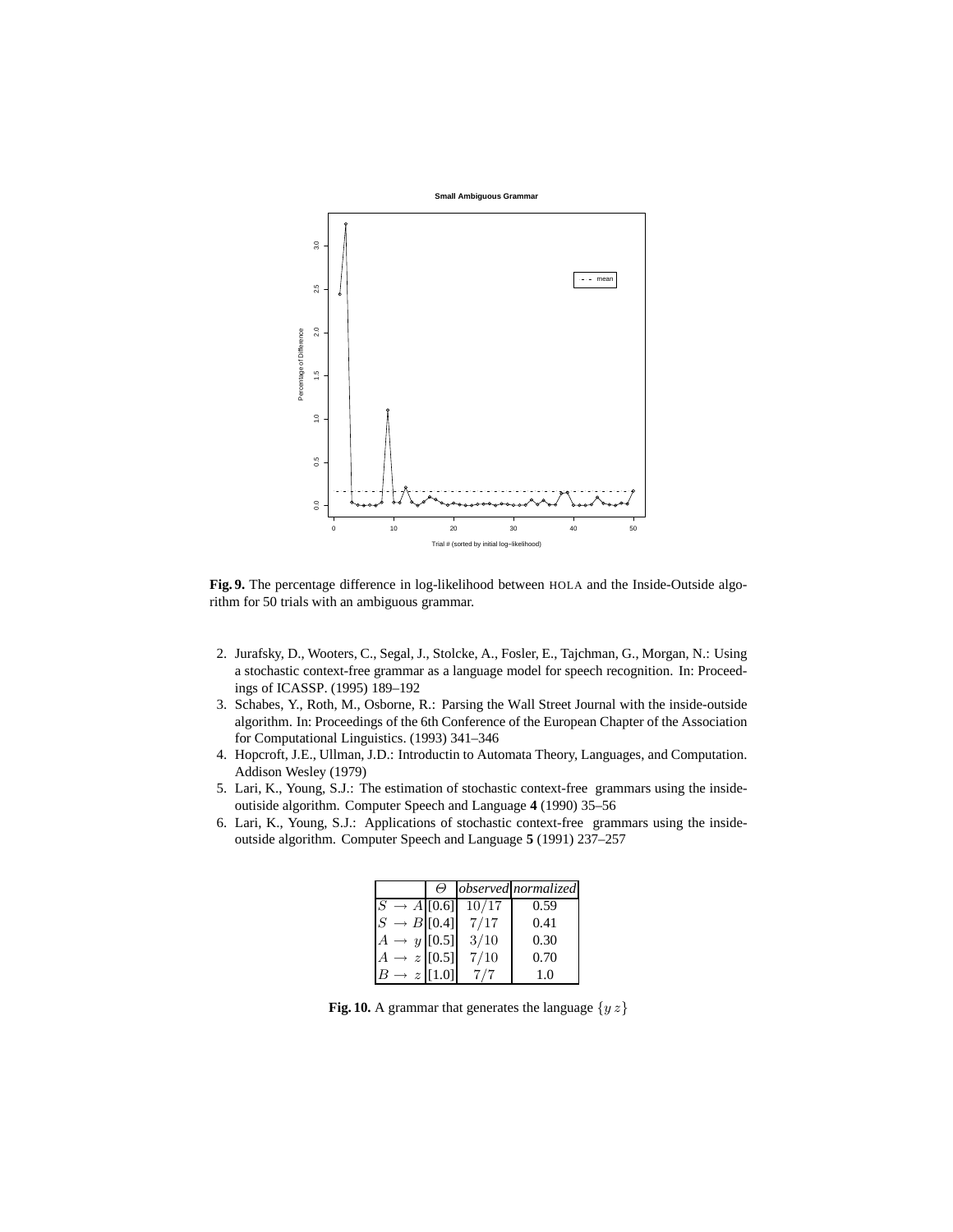

**Fig. 9.** The percentage difference in log-likelihood between HOLA and the Inside-Outside algorithm for 50 trials with an ambiguous grammar.

- 2. Jurafsky, D., Wooters, C., Segal, J., Stolcke, A., Fosler, E., Tajchman, G., Morgan, N.: Using a stochastic context-free grammar as a language model for speech recognition. In: Proceedings of ICASSP. (1995) 189–192
- 3. Schabes, Y., Roth, M., Osborne, R.: Parsing the Wall Street Journal with the inside-outside algorithm. In: Proceedings of the 6th Conference of the European Chapter of the Association for Computational Linguistics. (1993) 341–346
- 4. Hopcroft, J.E., Ullman, J.D.: Introductin to Automata Theory, Languages, and Computation. Addison Wesley (1979)
- 5. Lari, K., Young, S.J.: The estimation of stochastic context-free grammars using the insideoutiside algorithm. Computer Speech and Language **4** (1990) 35–56
- 6. Lari, K., Young, S.J.: Applications of stochastic context-free grammars using the insideoutside algorithm. Computer Speech and Language **5** (1991) 237–257

|                                        | Θ         |       | observed normalized |
|----------------------------------------|-----------|-------|---------------------|
| $\mathcal{S}$<br>$\rightarrow$ A [0.6] |           | 10/17 | 0.59                |
| $\rightarrow$ B [0.4]<br>$S_{-}$       |           | 7/17  | 0.41                |
| $A \rightarrow y$ [0.5]                |           | 3/10  | 0.30                |
|                                        | $z$ [0.5] | 7/10  | 0.70                |
| $\overline{B}$                         | $z$ [1.0] | 7/7   | 1.0                 |

**Fig. 10.** A grammar that generates the language  $\{y z\}$